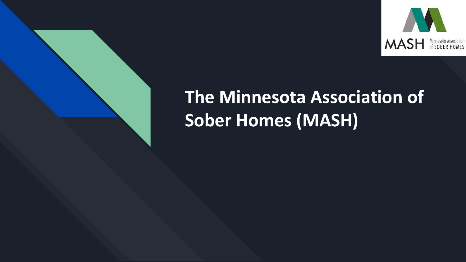

## **The Minnesota Association of Sober Homes (MASH)**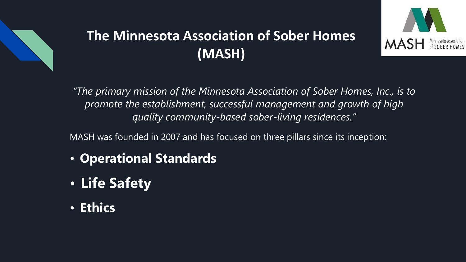

#### **The Minnesota Association of Sober Homes (MASH)**



*"The primary mission of the Minnesota Association of Sober Homes, Inc., is to promote the establishment, successful management and growth of high quality community-based sober-living residences."*

MASH was founded in 2007 and has focused on three pillars since its inception:

- **Operational Standards**
- **Life Safety**
- **Ethics**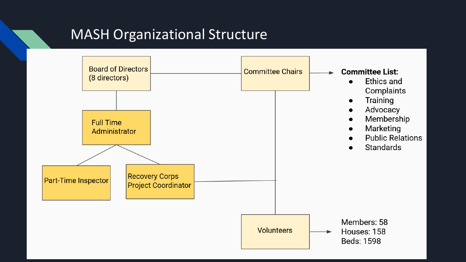#### **MASH Organizational Structure**

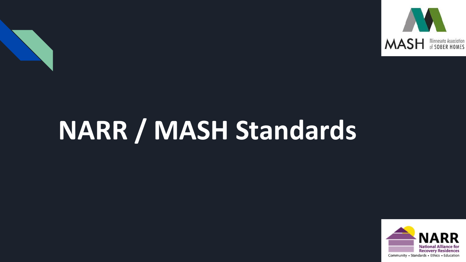

# **NARR / MASH Standards**

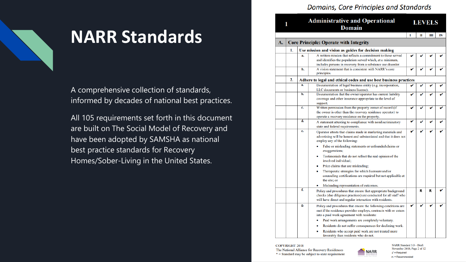#### Domains, Core Principles and Standards



### **NARR Standards**

A comprehensive collection of standards, informed by decades of national best practices.

All 105 requirements set forth in this document are built on The Social Model of Recovery and have been adopted by SAMSHA as national best practice standards for Recovery Homes/Sober-Living in the United States.

| 1  |                                               |    | <b>Administrative and Operational</b><br>Domain                                                                                                                                               | <b>LEVELS</b> |   |   |    |
|----|-----------------------------------------------|----|-----------------------------------------------------------------------------------------------------------------------------------------------------------------------------------------------|---------------|---|---|----|
|    |                                               |    |                                                                                                                                                                                               | T             | п | Ш | IV |
| A. | <b>Core Principle: Operate with Integrity</b> |    |                                                                                                                                                                                               |               |   |   |    |
|    | 1.                                            |    | Use mission and vision as guides for decision making                                                                                                                                          |               |   |   |    |
|    |                                               | a. | A written mission that reflects a commitment to those served<br>and identifies the population served which, at a minimum,<br>includes persons in recovery from a substance use disorder.      |               |   |   |    |
|    |                                               | b. | A vision statement that is consistent with NARR's core<br>principles.                                                                                                                         | v             | v | v |    |
|    | 2.                                            |    | Adhere to legal and ethical codes and use best business practices                                                                                                                             |               |   |   |    |
|    |                                               | a. | Documentation of legal business entity (e.g. incorporation,<br>LLC documents or business license).                                                                                            | v             | v | v | v  |
|    |                                               | b. | Documentation that the owner/operator has current liability<br>coverage and other insurance appropriate to the level of<br>support.                                                           | v             | v | v |    |
|    |                                               | c. | Written permission from the property owner of record (if<br>the owner is other than the recovery residence operator) to<br>operate a recovery residence on the property.                      | v             | v | v |    |
|    |                                               | d. | A statement attesting to compliance with nondiscriminatory<br>state and federal requirements.                                                                                                 | v             | v | v |    |
|    |                                               | e. | Operator attests that claims made in marketing materials and<br>advertising will be honest and substantiated and that it does not<br>employ any of the following:                             | v             | v | v |    |
|    |                                               |    | False or misleading statements or unfounded claims or<br>exaggerations;                                                                                                                       |               |   |   |    |
|    |                                               |    | Testimonials that do not reflect the real opinion of the<br>٠<br>involved individual:                                                                                                         |               |   |   |    |
|    |                                               |    | Price claims that are misleading;                                                                                                                                                             |               |   |   |    |
|    |                                               |    | Therapeutic strategies for which licensure and/or<br>۰<br>counseling certifications are required but not applicable at<br>the site: or                                                        |               |   |   |    |
|    |                                               |    | Misleading representation of outcomes.                                                                                                                                                        |               |   |   |    |
|    |                                               | f. | Policy and procedures that ensure that appropriate background<br>checks (due diligence practices) are conducted for all staff who<br>will have direct and regular interaction with residents. |               | R | R |    |
|    |                                               | g. | Policy and procedures that ensure the following conditions are<br>met if the residence provider employs, contracts with or enters<br>into a paid work agreement with residents:               | v             | v | v |    |
|    |                                               |    | Paid work arrangements are completely voluntary.                                                                                                                                              |               |   |   |    |
|    |                                               |    | Residents do not suffer consequences for declining work.<br>٠<br>Residents who accept paid work are not treated more<br>۰                                                                     |               |   |   |    |
|    |                                               |    | favorably than residents who do not.                                                                                                                                                          |               |   |   |    |

**COPYRIGHT 2018** The National Alliance for Recovery Residences  $*$  = Standard may be subject to state requirement



NARR Standard 3.0 - Draft November 2018: Page 2 of 12  $\sqrt{\phantom{a}}$  = Required  $R =$ Recommended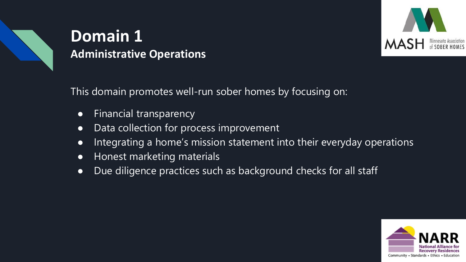

### **Domain 1 Administrative Operations**



This domain promotes well-run sober homes by focusing on:

- Financial transparency
- Data collection for process improvement
- Integrating a home's mission statement into their everyday operations
- Honest marketing materials
- Due diligence practices such as background checks for all staff

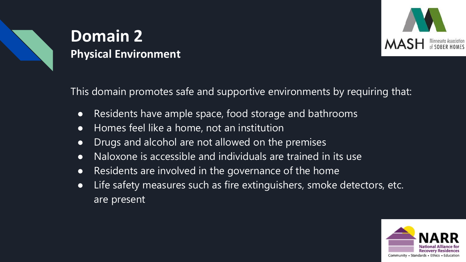

### **Domain 2 Physical Environment**

This domain promotes safe and supportive environments by requiring that:

- Residents have ample space, food storage and bathrooms
- Homes feel like a home, not an institution
- Drugs and alcohol are not allowed on the premises
- Naloxone is accessible and individuals are trained in its use
- Residents are involved in the governance of the home
- Life safety measures such as fire extinguishers, smoke detectors, etc. are present

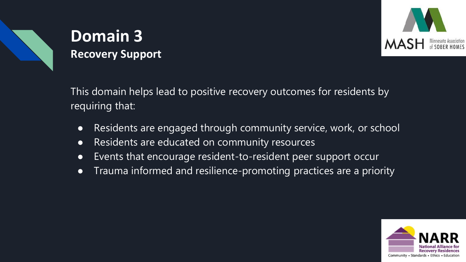

#### **Domain 3 Recovery Support**

This domain helps lead to positive recovery outcomes for residents by requiring that:

- Residents are engaged through community service, work, or school
- Residents are educated on community resources
- Events that encourage resident-to-resident peer support occur
- Trauma informed and resilience-promoting practices are a priority

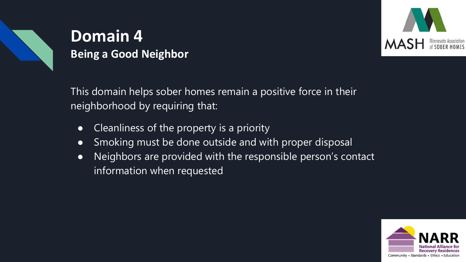

#### **Domain 4 Being a Good Neighbor**



This domain helps sober homes remain a positive force in their neighborhood by requiring that:

- Cleanliness of the property is a priority
- Smoking must be done outside and with proper disposal
- Neighbors are provided with the responsible person's contact information when requested

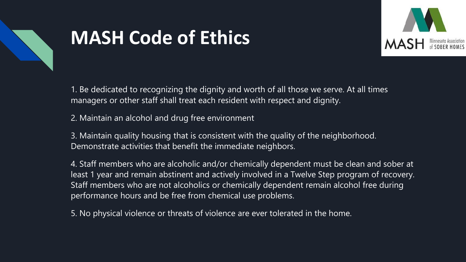

### **MASH Code of Ethics**



1. Be dedicated to recognizing the dignity and worth of all those we serve. At all times managers or other staff shall treat each resident with respect and dignity.

2. Maintain an alcohol and drug free environment

3. Maintain quality housing that is consistent with the quality of the neighborhood. Demonstrate activities that benefit the immediate neighbors.

4. Staff members who are alcoholic and/or chemically dependent must be clean and sober at least 1 year and remain abstinent and actively involved in a Twelve Step program of recovery. Staff members who are not alcoholics or chemically dependent remain alcohol free during performance hours and be free from chemical use problems.

5. No physical violence or threats of violence are ever tolerated in the home.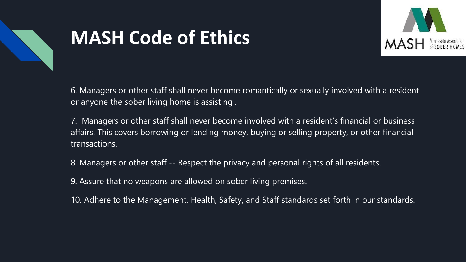

### **MASH Code of Ethics**



6. Managers or other staff shall never become romantically or sexually involved with a resident or anyone the sober living home is assisting .

7. Managers or other staff shall never become involved with a resident's financial or business affairs. This covers borrowing or lending money, buying or selling property, or other financial transactions.

8. Managers or other staff -- Respect the privacy and personal rights of all residents.

9. Assure that no weapons are allowed on sober living premises.

10. Adhere to the Management, Health, Safety, and Staff standards set forth in our standards.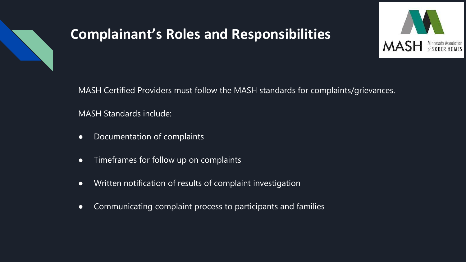

#### **Complainant's Roles and Responsibilities**



MASH Certified Providers must follow the MASH standards for complaints/grievances.

MASH Standards include:

- Documentation of complaints
- Timeframes for follow up on complaints
- Written notification of results of complaint investigation
- Communicating complaint process to participants and families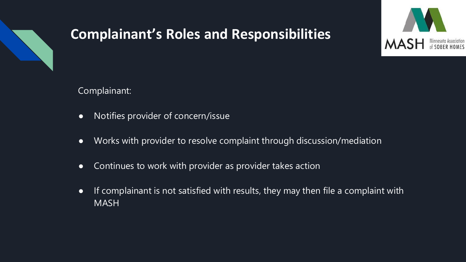

#### **Complainant's Roles and Responsibilities**



Complainant:

- Notifies provider of concern/issue
- Works with provider to resolve complaint through discussion/mediation
- Continues to work with provider as provider takes action
- If complainant is not satisfied with results, they may then file a complaint with MASH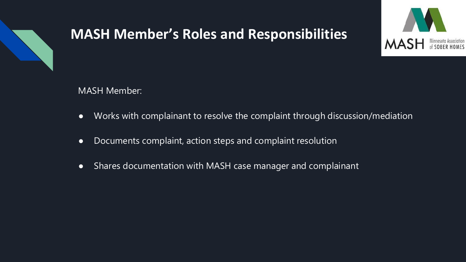

#### **MASH Member's Roles and Responsibilities**



MASH Member:

- Works with complainant to resolve the complaint through discussion/mediation
- Documents complaint, action steps and complaint resolution
- Shares documentation with MASH case manager and complainant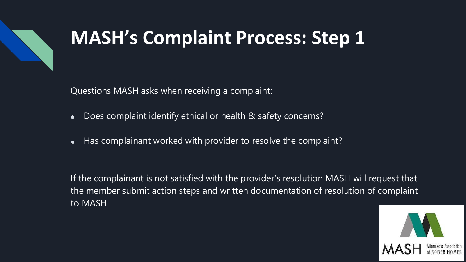

Questions MASH asks when receiving a complaint:

- Does complaint identify ethical or health & safety concerns?  $\bullet$
- Has complainant worked with provider to resolve the complaint?  $\bullet$

If the complainant is not satisfied with the provider's resolution MASH will request that the member submit action steps and written documentation of resolution of complaint to MASH

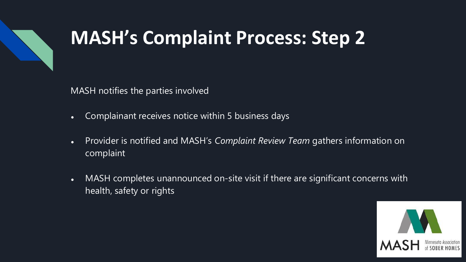

MASH notifies the parties involved

- Complainant receives notice within 5 business days
- Provider is notified and MASH's *Complaint Review Team* gathers information on complaint
- MASH completes unannounced on-site visit if there are significant concerns with health, safety or rights

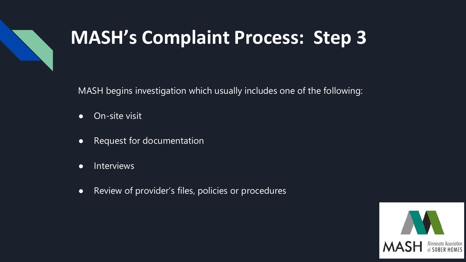

MASH begins investigation which usually includes one of the following:

- On-site visit
- Request for documentation
- **•** Interviews
- Review of provider's files, policies or procedures

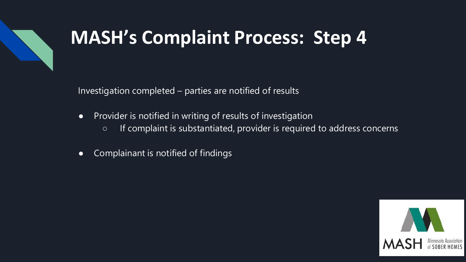

Investigation completed – parties are notified of results

- Provider is notified in writing of results of investigation
	- If complaint is substantiated, provider is required to address concerns
- Complainant is notified of findings